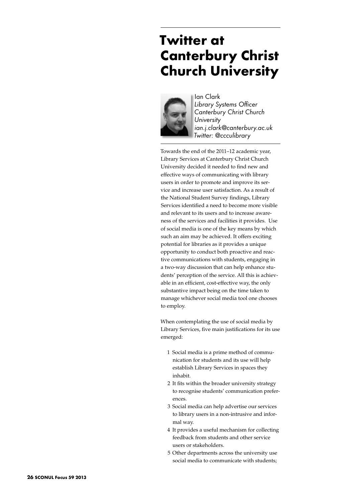## **Twitter at Canterbury Christ Church University**



Ian Clark *Library Systems Officer Canterbury Christ Church University ian.j.clark@canterbury.ac.uk Twitter: @ccculibrary*

Towards the end of the 2011–12 academic year, Library Services at Canterbury Christ Church University decided it needed to find new and effective ways of communicating with library users in order to promote and improve its service and increase user satisfaction. As a result of the National Student Survey findings, Library Services identified a need to become more visible and relevant to its users and to increase awareness of the services and facilities it provides. Use of social media is one of the key means by which such an aim may be achieved. It offers exciting potential for libraries as it provides a unique opportunity to conduct both proactive and reactive communications with students, engaging in a two-way discussion that can help enhance students' perception of the service. All this is achievable in an efficient, cost-effective way, the only substantive impact being on the time taken to manage whichever social media tool one chooses to employ.

When contemplating the use of social media by Library Services, five main justifications for its use emerged:

- 1 Social media is a prime method of communication for students and its use will help establish Library Services in spaces they inhabit.
- 2 It fits within the broader university strategy to recognise students' communication preferences.
- 3 Social media can help advertise our services to library users in a non-intrusive and informal way.
- 4 It provides a useful mechanism for collecting feedback from students and other service users or stakeholders.
- 5 Other departments across the university use social media to communicate with students;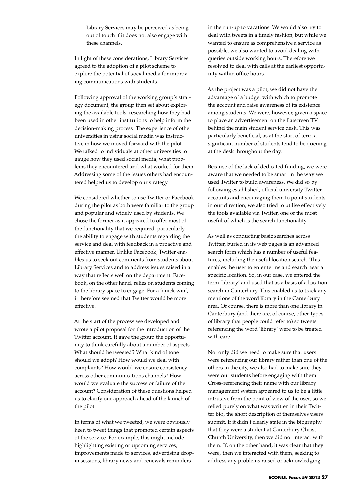Library Services may be perceived as being out of touch if it does not also engage with these channels.

In light of these considerations, Library Services agreed to the adoption of a pilot scheme to explore the potential of social media for improving communications with students.

Following approval of the working group's strategy document, the group then set about exploring the available tools, researching how they had been used in other institutions to help inform the decision-making process. The experience of other universities in using social media was instructive in how we moved forward with the pilot. We talked to individuals at other universities to gauge how they used social media, what problems they encountered and what worked for them. Addressing some of the issues others had encountered helped us to develop our strategy.

We considered whether to use Twitter or Facebook during the pilot as both were familiar to the group and popular and widely used by students. We chose the former as it appeared to offer most of the functionality that we required, particularly the ability to engage with students regarding the service and deal with feedback in a proactive and effective manner. Unlike Facebook, Twitter enables us to seek out comments from students about Library Services and to address issues raised in a way that reflects well on the department. Facebook, on the other hand, relies on students coming to the library space to engage. For a 'quick win', it therefore seemed that Twitter would be more effective.

At the start of the process we developed and wrote a pilot proposal for the introduction of the Twitter account. It gave the group the opportunity to think carefully about a number of aspects. What should be tweeted? What kind of tone should we adopt? How would we deal with complaints? How would we ensure consistency across other communications channels? How would we evaluate the success or failure of the account? Consideration of these questions helped us to clarify our approach ahead of the launch of the pilot.

In terms of what we tweeted, we were obviously keen to tweet things that promoted certain aspects of the service. For example, this might include highlighting existing or upcoming services, improvements made to services, advertising dropin sessions, library news and renewals reminders

in the run-up to vacations. We would also try to deal with tweets in a timely fashion, but while we wanted to ensure as comprehensive a service as possible, we also wanted to avoid dealing with queries outside working hours. Therefore we resolved to deal with calls at the earliest opportunity within office hours.

As the project was a pilot, we did not have the advantage of a budget with which to promote the account and raise awareness of its existence among students. We were, however, given a space to place an advertisement on the flatscreen TV behind the main student service desk. This was particularly beneficial, as at the start of term a significant number of students tend to be queuing at the desk throughout the day.

Because of the lack of dedicated funding, we were aware that we needed to be smart in the way we used Twitter to build awareness. We did so by following established, official university Twitter accounts and encouraging them to point students in our direction; we also tried to utilise effectively the tools available via Twitter, one of the most useful of which is the search functionality.

As well as conducting basic searches across Twitter, buried in its web pages is an advanced search form which has a number of useful features, including the useful location search. This enables the user to enter terms and search near a specific location. So, in our case, we entered the term 'library' and used that as a basis of a location search in Canterbury. This enabled us to track any mentions of the word library in the Canterbury area. Of course, there is more than one library in Canterbury (and there are, of course, other types of library that people could refer to) so tweets referencing the word 'library' were to be treated with care.

Not only did we need to make sure that users were referencing our library rather than one of the others in the city, we also had to make sure they were our students before engaging with them. Cross-referencing their name with our library management system appeared to us to be a little intrusive from the point of view of the user, so we relied purely on what was written in their Twitter bio, the short description of themselves users submit. If it didn't clearly state in the biography that they were a student at Canterbury Christ Church University, then we did not interact with them. If, on the other hand, it was clear that they were, then we interacted with them, seeking to address any problems raised or acknowledging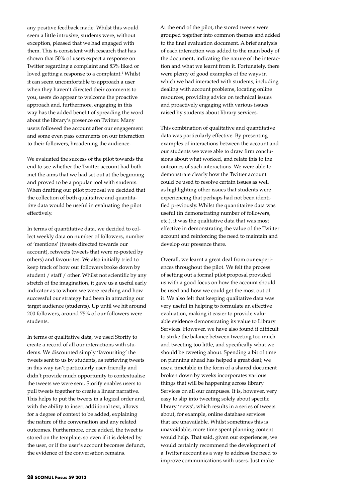any positive feedback made. Whilst this would seem a little intrusive, students were, without exception, pleased that we had engaged with them. This is consistent with research that has shown that 50% of users expect a response on Twitter regarding a complaint and 83% liked or loved getting a response to a complaint.<sup>1</sup> Whilst it can seem uncomfortable to approach a user when they haven't directed their comments to you, users do appear to welcome the proactive approach and, furthermore, engaging in this way has the added benefit of spreading the word about the library's presence on Twitter. Many users followed the account after our engagement and some even pass comments on our interaction to their followers, broadening the audience.

We evaluated the success of the pilot towards the end to see whether the Twitter account had both met the aims that we had set out at the beginning and proved to be a popular tool with students. When drafting our pilot proposal we decided that the collection of both qualitative and quantitative data would be useful in evaluating the pilot effectively.

In terms of quantitative data, we decided to collect weekly data on number of followers, number of 'mentions' (tweets directed towards our account), retweets (tweets that were re-posted by others) and favourites. We also initially tried to keep track of how our followers broke down by student / staff / other. Whilst not scientific by any stretch of the imagination, it gave us a useful early indicator as to whom we were reaching and how successful our strategy had been in attracting our target audience (students). Up until we hit around 200 followers, around 75% of our followers were students.

In terms of qualitative data, we used Storify to create a record of all our interactions with students. We discounted simply 'favouriting' the tweets sent to us by students, as retrieving tweets in this way isn't particularly user-friendly and didn't provide much opportunity to contextualise the tweets we were sent. Storify enables users to pull tweets together to create a linear narrative. This helps to put the tweets in a logical order and, with the ability to insert additional text, allows for a degree of context to be added, explaining the nature of the conversation and any related outcomes. Furthermore, once added, the tweet is stored on the template, so even if it is deleted by the user, or if the user's account becomes defunct, the evidence of the conversation remains.

At the end of the pilot, the stored tweets were grouped together into common themes and added to the final evaluation document. A brief analysis of each interaction was added to the main body of the document, indicating the nature of the interaction and what we learnt from it. Fortunately, there were plenty of good examples of the ways in which we had interacted with students, including dealing with account problems, locating online resources, providing advice on technical issues and proactively engaging with various issues raised by students about library services.

This combination of qualitative and quantitative data was particularly effective. By presenting examples of interactions between the account and our students we were able to draw firm conclusions about what worked, and relate this to the outcomes of such interactions. We were able to demonstrate clearly how the Twitter account could be used to resolve certain issues as well as highlighting other issues that students were experiencing that perhaps had not been identified previously. Whilst the quantitative data was useful (in demonstrating number of followers, etc.), it was the qualitative data that was most effective in demonstrating the value of the Twitter account and reinforcing the need to maintain and develop our presence there.

Overall, we learnt a great deal from our experiences throughout the pilot. We felt the process of setting out a formal pilot proposal provided us with a good focus on how the account should be used and how we could get the most out of it. We also felt that keeping qualitative data was very useful in helping to formulate an effective evaluation, making it easier to provide valuable evidence demonstrating its value to Library Services. However, we have also found it difficult to strike the balance between tweeting too much and tweeting too little, and specifically what we should be tweeting about. Spending a bit of time on planning ahead has helped a great deal; we use a timetable in the form of a shared document broken down by weeks incorporates various things that will be happening across library Services on all our campuses. It is, however, very easy to slip into tweeting solely about specific library 'news', which results in a series of tweets about, for example, online database services that are unavailable. Whilst sometimes this is unavoidable, more time spent planning content would help. That said, given our experiences, we would certainly recommend the development of a Twitter account as a way to address the need to improve communications with users. Just make